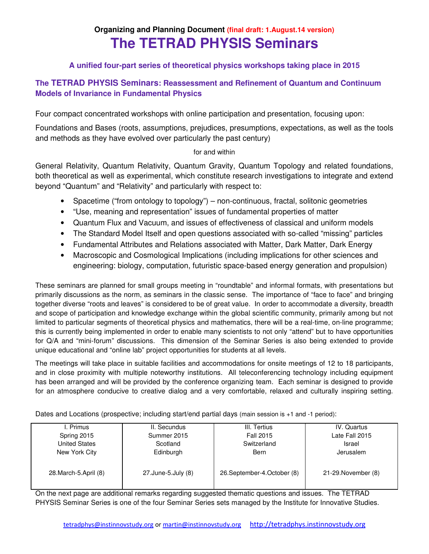# **Organizing and Planning Document (final draft: 1.August.14 version) The TETRAD PHYSIS Seminars**

# **A unified four-part series of theoretical physics workshops taking place in 2015**

## **The TETRAD PHYSIS Seminars: Reassessment and Refinement of Quantum and Continuum Models of Invariance in Fundamental Physics**

Four compact concentrated workshops with online participation and presentation, focusing upon:

Foundations and Bases (roots, assumptions, prejudices, presumptions, expectations, as well as the tools and methods as they have evolved over particularly the past century)

### for and within

General Relativity, Quantum Relativity, Quantum Gravity, Quantum Topology and related foundations, both theoretical as well as experimental, which constitute research investigations to integrate and extend beyond "Quantum" and "Relativity" and particularly with respect to:

- Spacetime ("from ontology to topology") non-continuous, fractal, solitonic geometries
- "Use, meaning and representation" issues of fundamental properties of matter
- Quantum Flux and Vacuum, and issues of effectiveness of classical and uniform models
- The Standard Model Itself and open questions associated with so-called "missing" particles
- Fundamental Attributes and Relations associated with Matter, Dark Matter, Dark Energy
- Macroscopic and Cosmological Implications (including implications for other sciences and engineering: biology, computation, futuristic space-based energy generation and propulsion)

These seminars are planned for small groups meeting in "roundtable" and informal formats, with presentations but primarily discussions as the norm, as seminars in the classic sense. The importance of "face to face" and bringing together diverse "roots and leaves" is considered to be of great value. In order to accommodate a diversity, breadth and scope of participation and knowledge exchange within the global scientific community, primarily among but not limited to particular segments of theoretical physics and mathematics, there will be a real-time, on-line programme; this is currently being implemented in order to enable many scientists to not only "attend" but to have opportunities for Q/A and "mini-forum" discussions. This dimension of the Seminar Series is also being extended to provide unique educational and "online lab" project opportunities for students at all levels.

The meetings will take place in suitable facilities and accommodations for onsite meetings of 12 to 18 participants, and in close proximity with multiple noteworthy institutions. All teleconferencing technology including equipment has been arranged and will be provided by the conference organizing team. Each seminar is designed to provide for an atmosphere conducive to creative dialog and a very comfortable, relaxed and culturally inspiring setting.

Dates and Locations (prospective; including start/end partial days (main session is +1 and -1 period):

| I. Primus              | II. Secundus       | III. Tertius                 | IV. Quartus         |
|------------------------|--------------------|------------------------------|---------------------|
| Spring 2015            | Summer 2015        | Fall 2015                    | Late Fall 2015      |
| United States          | Scotland           | Switzerland                  | Israel              |
| New York City          | Edinburgh          | Bern                         | Jerusalem           |
| 28. March-5. April (8) | 27.June-5.July (8) | 26. September-4. October (8) | 21-29. November (8) |

On the next page are additional remarks regarding suggested thematic questions and issues. The TETRAD PHYSIS Seminar Series is one of the four Seminar Series sets managed by the Institute for Innovative Studies.